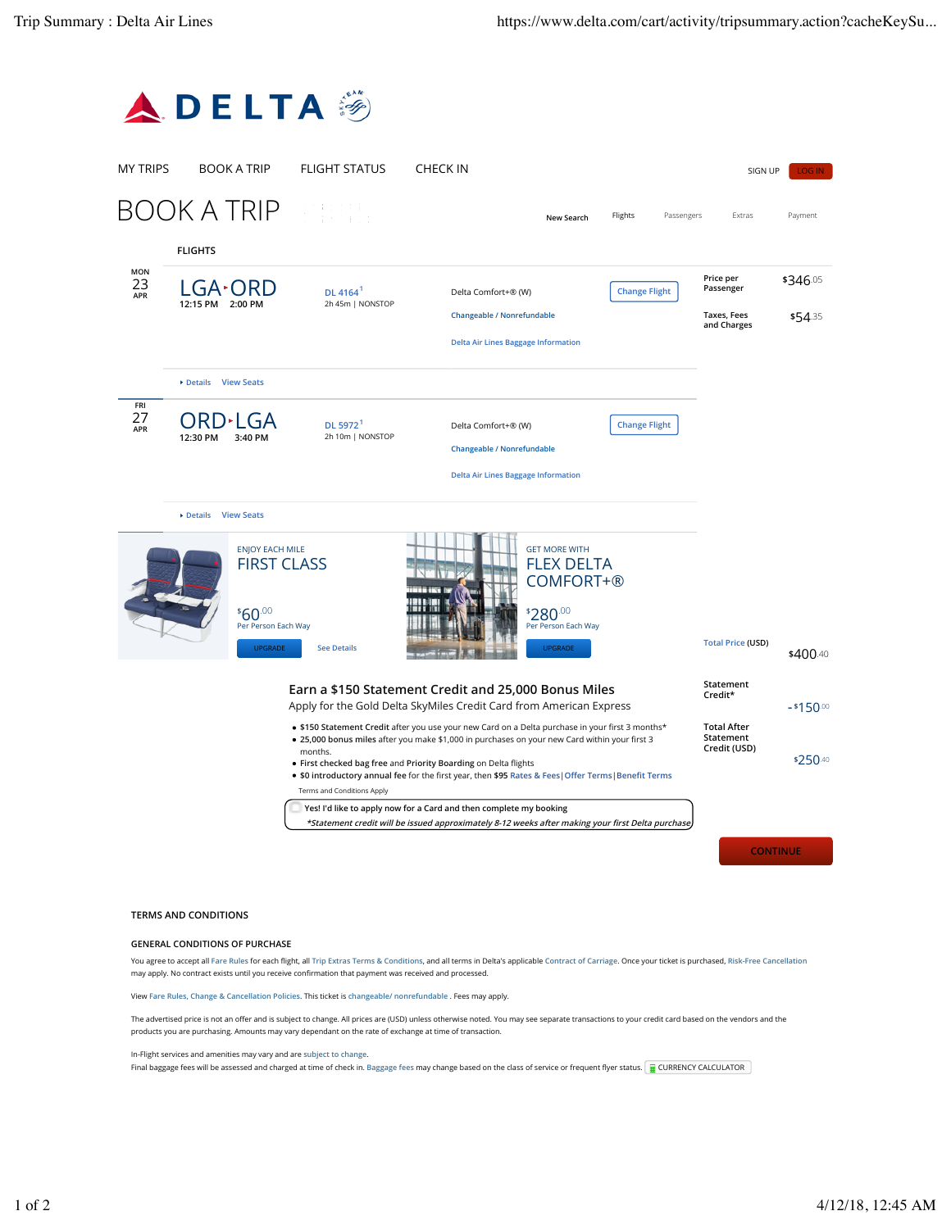

## **TERMS AND CONDITIONS**

## **GENERAL CONDITIONS OF PURCHASE**

You agree to accept all Fare Rules for each flight, all Trip Extras Terms & Conditions, and all terms in Delta's applicable Contract of Carriage. Once your ticket is purchased, Risk-Free Cancellation may apply. No contract exists until you receive confirmation that payment was received and processed.

View **Fare Rules, Change & Cancellation Policies**. This ticket is **changeable/ nonrefundable** . Fees may apply.

The advertised price is not an offer and is subject to change. All prices are (USD) unless otherwise noted. You may see separate transactions to your credit card based on the vendors and the products you are purchasing. Amounts may vary dependant on the rate of exchange at time of transaction.

In-Flight services and amenities may vary and are **subject to change**.

Final baggage fees will be assessed and charged at time of check in. Baggage fees may change based on the class of service or frequent flyer status. **EXELGURENCY CALCULATOR**